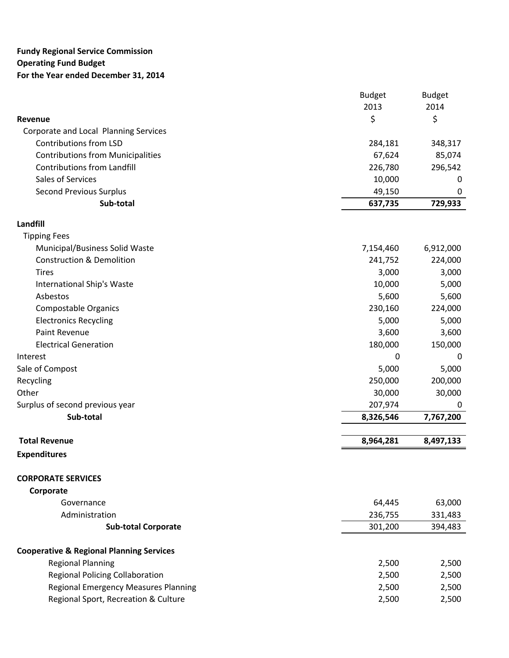## **Fundy Regional Service Commission Operating Fund Budget For the Year ended December 31, 2014**

|                                                     | <b>Budget</b> | <b>Budget</b> |
|-----------------------------------------------------|---------------|---------------|
|                                                     | 2013          | 2014          |
| Revenue                                             | \$            | \$            |
| Corporate and Local Planning Services               |               |               |
| Contributions from LSD                              | 284,181       | 348,317       |
| <b>Contributions from Municipalities</b>            | 67,624        | 85,074        |
| <b>Contributions from Landfill</b>                  | 226,780       | 296,542       |
| Sales of Services                                   | 10,000        | 0             |
| Second Previous Surplus                             | 49,150        | 0             |
| Sub-total                                           | 637,735       | 729,933       |
| Landfill                                            |               |               |
| <b>Tipping Fees</b>                                 |               |               |
| Municipal/Business Solid Waste                      | 7,154,460     | 6,912,000     |
| <b>Construction &amp; Demolition</b>                | 241,752       | 224,000       |
| <b>Tires</b>                                        | 3,000         | 3,000         |
| International Ship's Waste                          | 10,000        | 5,000         |
| Asbestos                                            | 5,600         | 5,600         |
| Compostable Organics                                | 230,160       | 224,000       |
| <b>Electronics Recycling</b>                        | 5,000         | 5,000         |
| Paint Revenue                                       | 3,600         | 3,600         |
| <b>Electrical Generation</b>                        | 180,000       | 150,000       |
| Interest                                            | 0             | 0             |
| Sale of Compost                                     | 5,000         | 5,000         |
| Recycling                                           | 250,000       | 200,000       |
| Other                                               | 30,000        | 30,000        |
| Surplus of second previous year                     | 207,974       | 0             |
| Sub-total                                           | 8,326,546     | 7,767,200     |
| <b>Total Revenue</b>                                | 8,964,281     | 8,497,133     |
| <b>Expenditures</b>                                 |               |               |
| <b>CORPORATE SERVICES</b>                           |               |               |
| Corporate                                           |               |               |
| Governance                                          | 64,445        | 63,000        |
| Administration                                      | 236,755       | 331,483       |
| <b>Sub-total Corporate</b>                          | 301,200       | 394,483       |
|                                                     |               |               |
| <b>Cooperative &amp; Regional Planning Services</b> |               |               |
| <b>Regional Planning</b>                            | 2,500         | 2,500         |
| <b>Regional Policing Collaboration</b>              | 2,500         | 2,500         |
| <b>Regional Emergency Measures Planning</b>         | 2,500         | 2,500         |
| Regional Sport, Recreation & Culture                | 2,500         | 2,500         |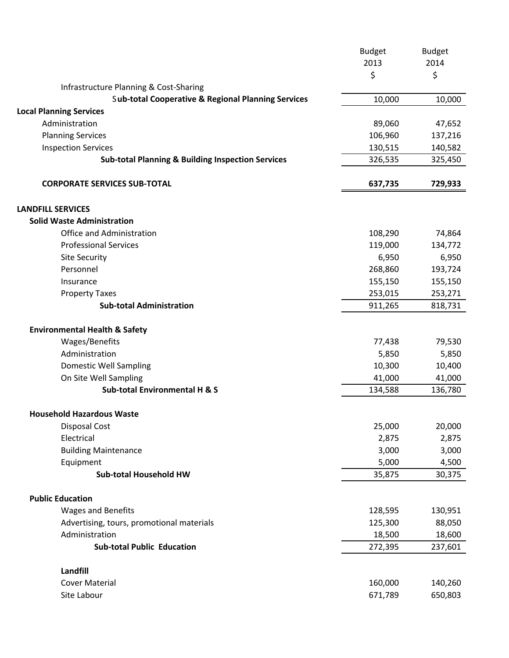|                                                               | <b>Budget</b>   | <b>Budget</b>   |
|---------------------------------------------------------------|-----------------|-----------------|
|                                                               | 2013            | 2014            |
|                                                               | \$              | \$              |
| Infrastructure Planning & Cost-Sharing                        |                 |                 |
| <b>Sub-total Cooperative &amp; Regional Planning Services</b> | 10,000          | 10,000          |
| <b>Local Planning Services</b>                                |                 |                 |
| Administration                                                | 89,060          | 47,652          |
| <b>Planning Services</b>                                      | 106,960         | 137,216         |
| <b>Inspection Services</b>                                    | 130,515         | 140,582         |
| <b>Sub-total Planning &amp; Building Inspection Services</b>  | 326,535         | 325,450         |
| <b>CORPORATE SERVICES SUB-TOTAL</b>                           | 637,735         | 729,933         |
| <b>LANDFILL SERVICES</b>                                      |                 |                 |
| <b>Solid Waste Administration</b>                             |                 |                 |
| Office and Administration                                     | 108,290         | 74,864          |
| <b>Professional Services</b>                                  | 119,000         | 134,772         |
| <b>Site Security</b>                                          | 6,950           | 6,950           |
| Personnel                                                     | 268,860         | 193,724         |
| Insurance                                                     | 155,150         | 155,150         |
| <b>Property Taxes</b>                                         | 253,015         | 253,271         |
| <b>Sub-total Administration</b>                               | 911,265         | 818,731         |
| <b>Environmental Health &amp; Safety</b>                      |                 |                 |
| Wages/Benefits                                                | 77,438          | 79,530          |
| Administration                                                | 5,850           | 5,850           |
| Domestic Well Sampling                                        | 10,300          | 10,400          |
| On Site Well Sampling                                         | 41,000          | 41,000          |
| <b>Sub-total Environmental H &amp; S</b>                      | 134,588         | 136,780         |
|                                                               |                 |                 |
| <b>Household Hazardous Waste</b>                              |                 |                 |
| <b>Disposal Cost</b><br>Electrical                            | 25,000<br>2,875 | 20,000<br>2,875 |
|                                                               |                 |                 |
| <b>Building Maintenance</b>                                   | 3,000           | 3,000           |
| Equipment<br><b>Sub-total Household HW</b>                    | 5,000           | 4,500<br>30,375 |
|                                                               | 35,875          |                 |
| <b>Public Education</b>                                       |                 |                 |
| <b>Wages and Benefits</b>                                     | 128,595         | 130,951         |
| Advertising, tours, promotional materials                     | 125,300         | 88,050          |
| Administration                                                | 18,500          | 18,600          |
| <b>Sub-total Public Education</b>                             | 272,395         | 237,601         |
| Landfill                                                      |                 |                 |
| <b>Cover Material</b>                                         | 160,000         | 140,260         |
|                                                               |                 |                 |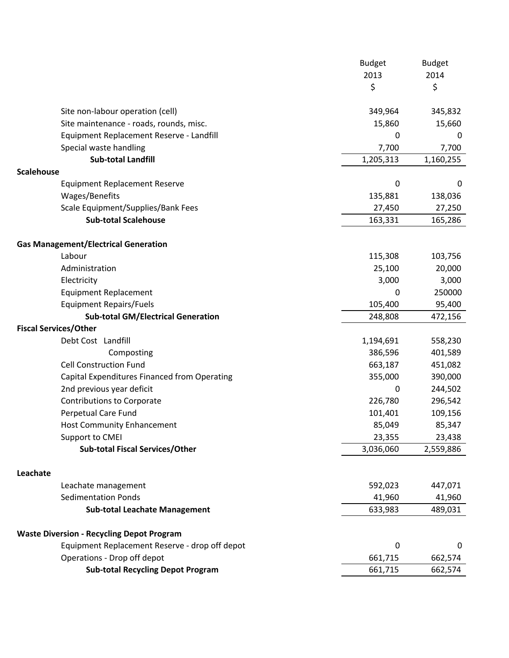|                                                  | <b>Budget</b> | <b>Budget</b> |
|--------------------------------------------------|---------------|---------------|
|                                                  | 2013          | 2014          |
|                                                  | \$            | \$            |
| Site non-labour operation (cell)                 | 349,964       | 345,832       |
| Site maintenance - roads, rounds, misc.          | 15,860        | 15,660        |
| Equipment Replacement Reserve - Landfill         | 0             | 0             |
| Special waste handling                           | 7,700         | 7,700         |
| <b>Sub-total Landfill</b>                        | 1,205,313     | 1,160,255     |
| <b>Scalehouse</b>                                |               |               |
| <b>Equipment Replacement Reserve</b>             | 0             | 0             |
| Wages/Benefits                                   | 135,881       | 138,036       |
| Scale Equipment/Supplies/Bank Fees               | 27,450        | 27,250        |
| <b>Sub-total Scalehouse</b>                      | 163,331       | 165,286       |
| <b>Gas Management/Electrical Generation</b>      |               |               |
| Labour                                           | 115,308       | 103,756       |
| Administration                                   | 25,100        | 20,000        |
| Electricity                                      | 3,000         | 3,000         |
| <b>Equipment Replacement</b>                     | 0             | 250000        |
| <b>Equipment Repairs/Fuels</b>                   | 105,400       | 95,400        |
| <b>Sub-total GM/Electrical Generation</b>        | 248,808       | 472,156       |
| <b>Fiscal Services/Other</b>                     |               |               |
| Debt Cost Landfill                               | 1,194,691     | 558,230       |
| Composting                                       | 386,596       | 401,589       |
| <b>Cell Construction Fund</b>                    | 663,187       | 451,082       |
| Capital Expenditures Financed from Operating     | 355,000       | 390,000       |
| 2nd previous year deficit                        | 0             | 244,502       |
| <b>Contributions to Corporate</b>                | 226,780       | 296,542       |
| <b>Perpetual Care Fund</b>                       | 101,401       | 109,156       |
| <b>Host Community Enhancement</b>                | 85,049        | 85,347        |
| Support to CMEI                                  | 23,355        | 23,438        |
| <b>Sub-total Fiscal Services/Other</b>           | 3,036,060     | 2,559,886     |
| Leachate                                         |               |               |
| Leachate management                              | 592,023       | 447,071       |
| <b>Sedimentation Ponds</b>                       | 41,960        | 41,960        |
| <b>Sub-total Leachate Management</b>             | 633,983       | 489,031       |
| <b>Waste Diversion - Recycling Depot Program</b> |               |               |
| Equipment Replacement Reserve - drop off depot   | 0             | 0             |
| Operations - Drop off depot                      | 661,715       | 662,574       |
| <b>Sub-total Recycling Depot Program</b>         | 661,715       | 662,574       |